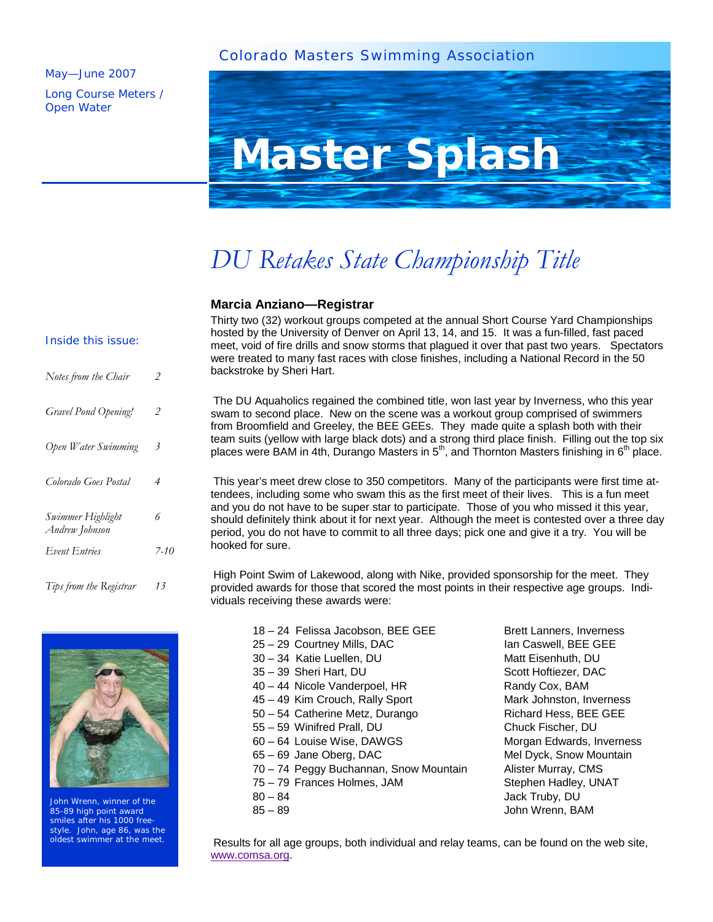### Colorado Masters Swimming Association

#### May—June 2007

Long Course Meters / Open Water



# *DU Retakes State Championship Title*

### **Marcia Anziano—Registrar**

### Inside this issue:

| Notes from the Chair                | $\mathcal{P}$ |
|-------------------------------------|---------------|
| Gravel Pond Opening!                | 2             |
| Open Water Swimming                 | 3             |
| Colorado Goes Postal                | 4             |
| Swimmer Highlight<br>Andrew Johnson | 6             |
| <b>Event Entries</b>                | $7 - 10$      |
| Tips from the Registrar             | 13            |

John Wrenn, winner of the 85-89 high point award smiles after his 1000 freestyle. John, age 86, was the oldest swimmer at the meet.

Thirty two (32) workout groups competed at the annual Short Course Yard Championships hosted by the University of Denver on April 13, 14, and 15. It was a fun-filled, fast paced meet, void of fire drills and snow storms that plagued it over that past two years. Spectators were treated to many fast races with close finishes, including a National Record in the 50 backstroke by Sheri Hart.

The DU Aquaholics regained the combined title, won last year by Inverness, who this year swam to second place. New on the scene was a workout group comprised of swimmers from Broomfield and Greeley, the BEE GEEs. They made quite a splash both with their team suits (yellow with large black dots) and a strong third place finish. Filling out the top six places were BAM in 4th, Durango Masters in  $5<sup>th</sup>$ , and Thornton Masters finishing in  $6<sup>th</sup>$  place.

This year's meet drew close to 350 competitors. Many of the participants were first time attendees, including some who swam this as the first meet of their lives. This is a fun meet and you do not have to be super star to participate. Those of you who missed it this year, should definitely think about it for next year. Although the meet is contested over a three day period, you do not have to commit to all three days; pick one and give it a try. You will be hooked for sure.

High Point Swim of Lakewood, along with Nike, provided sponsorship for the meet. They provided awards for those that scored the most points in their respective age groups. Individuals receiving these awards were:

- 18 24 Felissa Jacobson, BEE GEE Brett Lanners, Inverness 25 – 29 Courtney Mills, DAC Ian Caswell, BEE GEE 30 – 34 Katie Luellen, DU Matt Eisenhuth, DU 35 – 39 Sheri Hart, DU Scott Hoftiezer, DAC 40 – 44 Nicole Vanderpoel, HR Randy Cox, BAM 45 – 49 Kim Crouch, Rally Sport Mark Johnston, Inverness 50 – 54 Catherine Metz, Durango Richard Hess, BEE GEE 55 – 59 Winifred Prall, DU Chuck Fischer, DU 60 – 64 Louise Wise, DAWGS Morgan Edwards, Inverness 65 – 69 Jane Oberg, DAC Mel Dyck, Snow Mountain 70 – 74 Peggy Buchannan, Snow Mountain Alister Murray, CMS 75 – 79 Frances Holmes, JAM Stephen Hadley, UNAT 80 – 84 Jack Truby, DU
- 

85 – 89 John Wrenn, BAM

Results for all age groups, both individual and relay teams, can be found on the web site, www.comsa.org.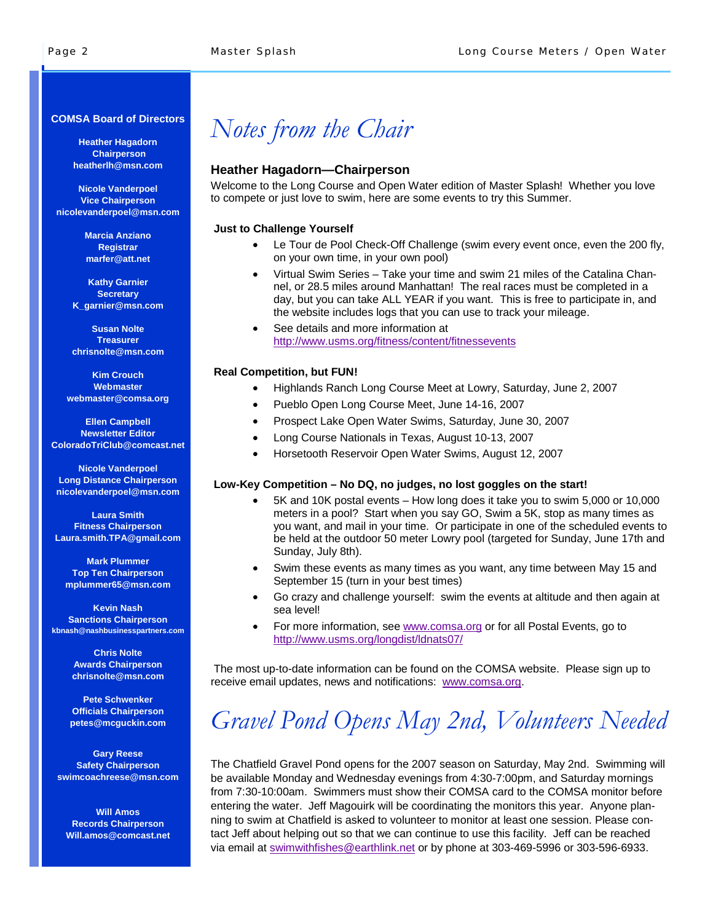#### **COMSA Board of Directors**

**Heather Hagadorn Chairperson heatherlh@msn.com** 

**Nicole Vanderpoel Vice Chairperson nicolevanderpoel@msn.com** 

> **Marcia Anziano Registrar marfer@att.net**

**Kathy Garnier Secretary K\_garnier@msn.com** 

**Susan Nolte Treasurer chrisnolte@msn.com** 

**Kim Crouch Webmaster webmaster@comsa.org** 

**Ellen Campbell Newsletter Editor ColoradoTriClub@comcast.net** 

**Nicole Vanderpoel Long Distance Chairperson nicolevanderpoel@msn.com** 

**Laura Smith Fitness Chairperson Laura.smith.TPA@gmail.com** 

**Mark Plummer Top Ten Chairperson mplummer65@msn.com** 

**Kevin Nash Sanctions Chairperson kbnash@nashbusinesspartners.com** 

> **Chris Nolte Awards Chairperson chrisnolte@msn.com**

**Pete Schwenker Officials Chairperson petes@mcguckin.com** 

**Gary Reese Safety Chairperson swimcoachreese@msn.com** 

**Will Amos Records Chairperson Will.amos@comcast.net**

### *Notes from the Chair*

### **Heather Hagadorn—Chairperson**

Welcome to the Long Course and Open Water edition of Master Splash! Whether you love to compete or just love to swim, here are some events to try this Summer.

#### **Just to Challenge Yourself**

- Le Tour de Pool Check-Off Challenge (swim every event once, even the 200 fly, on your own time, in your own pool)
- Virtual Swim Series Take your time and swim 21 miles of the Catalina Channel, or 28.5 miles around Manhattan! The real races must be completed in a day, but you can take ALL YEAR if you want. This is free to participate in, and the website includes logs that you can use to track your mileage.
- See details and more information at http://www.usms.org/fitness/content/fitnessevents

#### **Real Competition, but FUN!**

- Highlands Ranch Long Course Meet at Lowry, Saturday, June 2, 2007
- Pueblo Open Long Course Meet, June 14-16, 2007
- Prospect Lake Open Water Swims, Saturday, June 30, 2007
- Long Course Nationals in Texas, August 10-13, 2007
- Horsetooth Reservoir Open Water Swims, August 12, 2007

#### **Low-Key Competition – No DQ, no judges, no lost goggles on the start!**

- 5K and 10K postal events How long does it take you to swim 5,000 or 10,000 meters in a pool? Start when you say GO, Swim a 5K, stop as many times as you want, and mail in your time. Or participate in one of the scheduled events to be held at the outdoor 50 meter Lowry pool (targeted for Sunday, June 17th and Sunday, July 8th).
- Swim these events as many times as you want, any time between May 15 and September 15 (turn in your best times)
- Go crazy and challenge yourself: swim the events at altitude and then again at sea level!
- For more information, see www.comsa.org or for all Postal Events, go to http://www.usms.org/longdist/ldnats07/

 The most up-to-date information can be found on the COMSA website. Please sign up to receive email updates, news and notifications: www.comsa.org.

# *Gravel Pond Opens May 2nd, Volunteers Needed*

The Chatfield Gravel Pond opens for the 2007 season on Saturday, May 2nd. Swimming will be available Monday and Wednesday evenings from 4:30-7:00pm, and Saturday mornings from 7:30-10:00am. Swimmers must show their COMSA card to the COMSA monitor before entering the water. Jeff Magouirk will be coordinating the monitors this year. Anyone planning to swim at Chatfield is asked to volunteer to monitor at least one session. Please contact Jeff about helping out so that we can continue to use this facility. Jeff can be reached via email at swimwithfishes@earthlink.net or by phone at 303-469-5996 or 303-596-6933.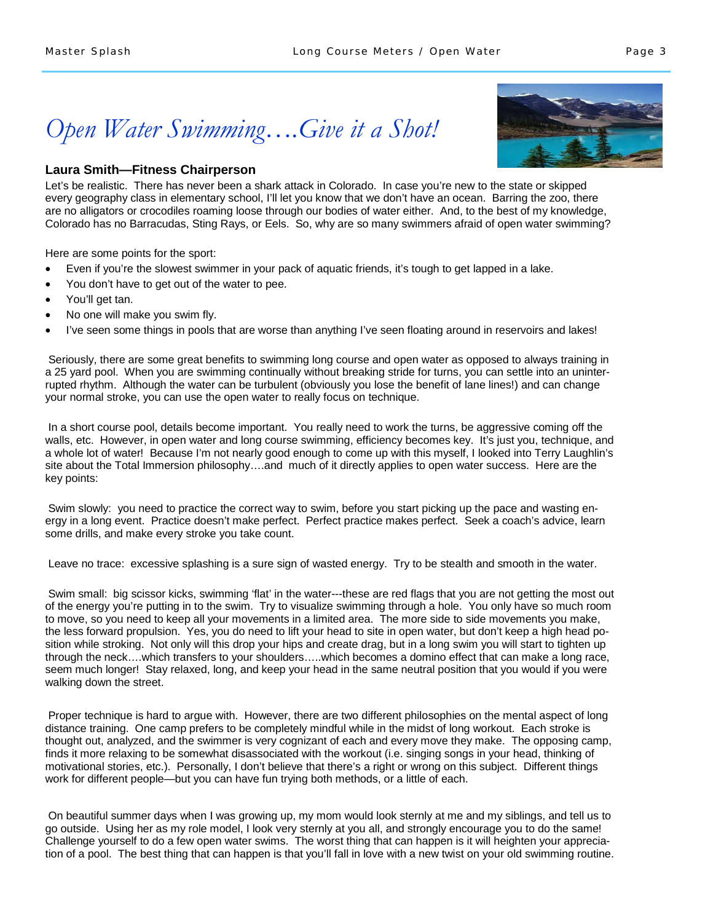### *Open Water Swimming….Give it a Shot!*

### **Laura Smith—Fitness Chairperson**

Let's be realistic. There has never been a shark attack in Colorado. In case you're new to the state or skipped every geography class in elementary school, I'll let you know that we don't have an ocean. Barring the zoo, there are no alligators or crocodiles roaming loose through our bodies of water either. And, to the best of my knowledge, Colorado has no Barracudas, Sting Rays, or Eels. So, why are so many swimmers afraid of open water swimming?

Here are some points for the sport:

- Even if you're the slowest swimmer in your pack of aquatic friends, it's tough to get lapped in a lake.
- You don't have to get out of the water to pee.
- You'll get tan.
- No one will make you swim fly.
- I've seen some things in pools that are worse than anything I've seen floating around in reservoirs and lakes!

 Seriously, there are some great benefits to swimming long course and open water as opposed to always training in a 25 yard pool. When you are swimming continually without breaking stride for turns, you can settle into an uninterrupted rhythm. Although the water can be turbulent (obviously you lose the benefit of lane lines!) and can change your normal stroke, you can use the open water to really focus on technique.

In a short course pool, details become important. You really need to work the turns, be aggressive coming off the walls, etc. However, in open water and long course swimming, efficiency becomes key. It's just you, technique, and a whole lot of water! Because I'm not nearly good enough to come up with this myself, I looked into Terry Laughlin's site about the Total Immersion philosophy….and much of it directly applies to open water success. Here are the key points:

Swim slowly: you need to practice the correct way to swim, before you start picking up the pace and wasting energy in a long event. Practice doesn't make perfect. Perfect practice makes perfect. Seek a coach's advice, learn some drills, and make every stroke you take count.

Leave no trace: excessive splashing is a sure sign of wasted energy. Try to be stealth and smooth in the water.

Swim small: big scissor kicks, swimming 'flat' in the water---these are red flags that you are not getting the most out of the energy you're putting in to the swim. Try to visualize swimming through a hole. You only have so much room to move, so you need to keep all your movements in a limited area. The more side to side movements you make, the less forward propulsion. Yes, you do need to lift your head to site in open water, but don't keep a high head position while stroking. Not only will this drop your hips and create drag, but in a long swim you will start to tighten up through the neck….which transfers to your shoulders…..which becomes a domino effect that can make a long race, seem much longer! Stay relaxed, long, and keep your head in the same neutral position that you would if you were walking down the street.

Proper technique is hard to argue with. However, there are two different philosophies on the mental aspect of long distance training. One camp prefers to be completely mindful while in the midst of long workout. Each stroke is thought out, analyzed, and the swimmer is very cognizant of each and every move they make. The opposing camp, finds it more relaxing to be somewhat disassociated with the workout (i.e. singing songs in your head, thinking of motivational stories, etc.). Personally, I don't believe that there's a right or wrong on this subject. Different things work for different people—but you can have fun trying both methods, or a little of each.

On beautiful summer days when I was growing up, my mom would look sternly at me and my siblings, and tell us to go outside. Using her as my role model, I look very sternly at you all, and strongly encourage you to do the same! Challenge yourself to do a few open water swims. The worst thing that can happen is it will heighten your appreciation of a pool. The best thing that can happen is that you'll fall in love with a new twist on your old swimming routine.

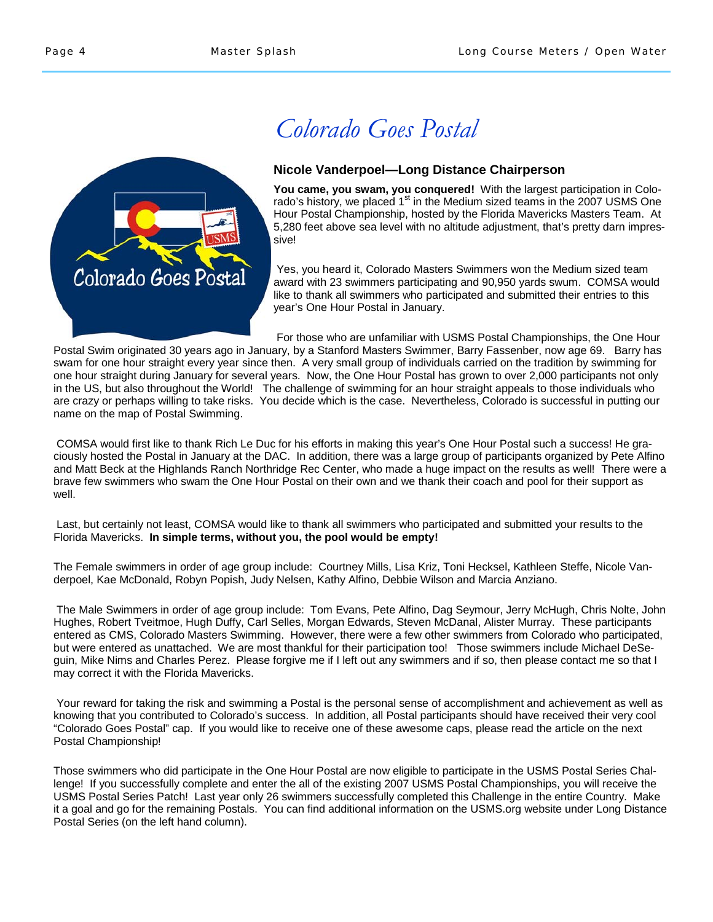

## *Colorado Goes Postal*

### **Nicole Vanderpoel—Long Distance Chairperson**

**You came, you swam, you conquered!** With the largest participation in Colorado's history, we placed 1<sup>st</sup> in the Medium sized teams in the 2007 USMS One Hour Postal Championship, hosted by the Florida Mavericks Masters Team. At 5,280 feet above sea level with no altitude adjustment, that's pretty darn impressive!

 Yes, you heard it, Colorado Masters Swimmers won the Medium sized team award with 23 swimmers participating and 90,950 yards swum. COMSA would like to thank all swimmers who participated and submitted their entries to this year's One Hour Postal in January.

For those who are unfamiliar with USMS Postal Championships, the One Hour

Postal Swim originated 30 years ago in January, by a Stanford Masters Swimmer, Barry Fassenber, now age 69. Barry has swam for one hour straight every year since then. A very small group of individuals carried on the tradition by swimming for one hour straight during January for several years. Now, the One Hour Postal has grown to over 2,000 participants not only in the US, but also throughout the World! The challenge of swimming for an hour straight appeals to those individuals who are crazy or perhaps willing to take risks. You decide which is the case. Nevertheless, Colorado is successful in putting our name on the map of Postal Swimming.

 COMSA would first like to thank Rich Le Duc for his efforts in making this year's One Hour Postal such a success! He graciously hosted the Postal in January at the DAC. In addition, there was a large group of participants organized by Pete Alfino and Matt Beck at the Highlands Ranch Northridge Rec Center, who made a huge impact on the results as well! There were a brave few swimmers who swam the One Hour Postal on their own and we thank their coach and pool for their support as well.

 Last, but certainly not least, COMSA would like to thank all swimmers who participated and submitted your results to the Florida Mavericks. **In simple terms, without you, the pool would be empty!**

The Female swimmers in order of age group include: Courtney Mills, Lisa Kriz, Toni Hecksel, Kathleen Steffe, Nicole Vanderpoel, Kae McDonald, Robyn Popish, Judy Nelsen, Kathy Alfino, Debbie Wilson and Marcia Anziano.

 The Male Swimmers in order of age group include: Tom Evans, Pete Alfino, Dag Seymour, Jerry McHugh, Chris Nolte, John Hughes, Robert Tveitmoe, Hugh Duffy, Carl Selles, Morgan Edwards, Steven McDanal, Alister Murray. These participants entered as CMS, Colorado Masters Swimming. However, there were a few other swimmers from Colorado who participated, but were entered as unattached. We are most thankful for their participation too! Those swimmers include Michael DeSeguin, Mike Nims and Charles Perez. Please forgive me if I left out any swimmers and if so, then please contact me so that I may correct it with the Florida Mavericks.

 Your reward for taking the risk and swimming a Postal is the personal sense of accomplishment and achievement as well as knowing that you contributed to Colorado's success. In addition, all Postal participants should have received their very cool "Colorado Goes Postal" cap. If you would like to receive one of these awesome caps, please read the article on the next Postal Championship!

Those swimmers who did participate in the One Hour Postal are now eligible to participate in the USMS Postal Series Challenge! If you successfully complete and enter the all of the existing 2007 USMS Postal Championships, you will receive the USMS Postal Series Patch! Last year only 26 swimmers successfully completed this Challenge in the entire Country. Make it a goal and go for the remaining Postals. You can find additional information on the USMS.org website under Long Distance Postal Series (on the left hand column).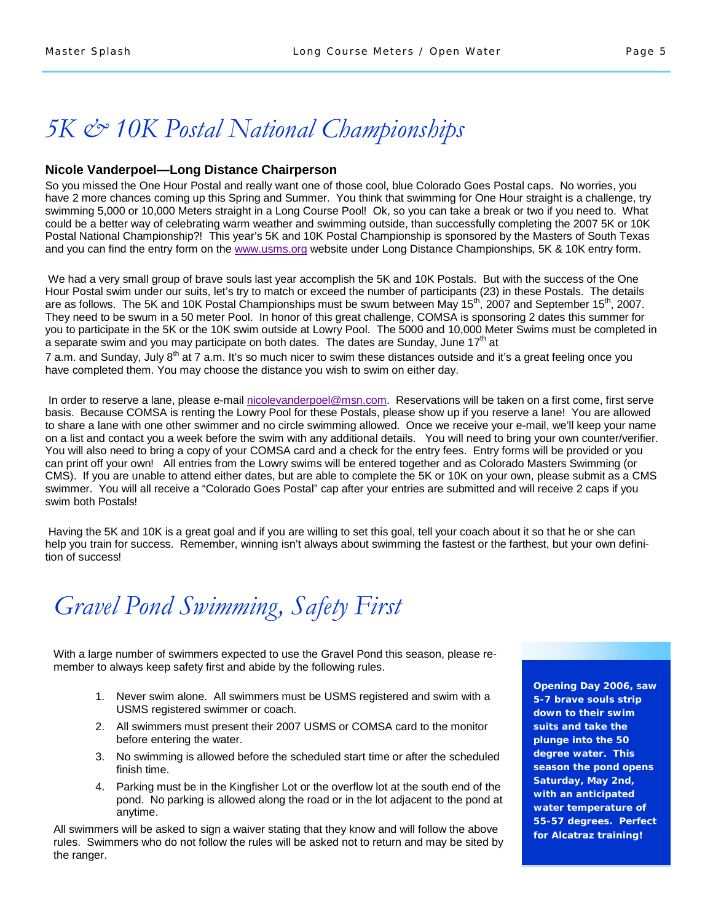### *5K & 10K Postal National Championships*

#### **Nicole Vanderpoel—Long Distance Chairperson**

So you missed the One Hour Postal and really want one of those cool, blue Colorado Goes Postal caps. No worries, you have 2 more chances coming up this Spring and Summer. You think that swimming for One Hour straight is a challenge, try swimming 5,000 or 10,000 Meters straight in a Long Course Pool! Ok, so you can take a break or two if you need to. What could be a better way of celebrating warm weather and swimming outside, than successfully completing the 2007 5K or 10K Postal National Championship?! This year's 5K and 10K Postal Championship is sponsored by the Masters of South Texas and you can find the entry form on the www.usms.org website under Long Distance Championships, 5K & 10K entry form.

 We had a very small group of brave souls last year accomplish the 5K and 10K Postals. But with the success of the One Hour Postal swim under our suits, let's try to match or exceed the number of participants (23) in these Postals. The details are as follows. The 5K and 10K Postal Championships must be swum between May 15<sup>th</sup>, 2007 and September 15<sup>th</sup>, 2007. They need to be swum in a 50 meter Pool. In honor of this great challenge, COMSA is sponsoring 2 dates this summer for you to participate in the 5K or the 10K swim outside at Lowry Pool. The 5000 and 10,000 Meter Swims must be completed in a separate swim and you may participate on both dates. The dates are Sunday, June  $17<sup>th</sup>$  at

7 a.m. and Sunday, July  $8^{th}$  at 7 a.m. It's so much nicer to swim these distances outside and it's a great feeling once you have completed them. You may choose the distance you wish to swim on either day.

In order to reserve a lane, please e-mail nicolevanderpoel@msn.com. Reservations will be taken on a first come, first serve basis. Because COMSA is renting the Lowry Pool for these Postals, please show up if you reserve a lane! You are allowed to share a lane with one other swimmer and no circle swimming allowed. Once we receive your e-mail, we'll keep your name on a list and contact you a week before the swim with any additional details. You will need to bring your own counter/verifier. You will also need to bring a copy of your COMSA card and a check for the entry fees. Entry forms will be provided or you can print off your own! All entries from the Lowry swims will be entered together and as Colorado Masters Swimming (or CMS). If you are unable to attend either dates, but are able to complete the 5K or 10K on your own, please submit as a CMS swimmer. You will all receive a "Colorado Goes Postal" cap after your entries are submitted and will receive 2 caps if you swim both Postals!

 Having the 5K and 10K is a great goal and if you are willing to set this goal, tell your coach about it so that he or she can help you train for success. Remember, winning isn't always about swimming the fastest or the farthest, but your own definition of success!

*Gravel Pond Swimming, Safety First* 

With a large number of swimmers expected to use the Gravel Pond this season, please remember to always keep safety first and abide by the following rules.

- 1. Never swim alone. All swimmers must be USMS registered and swim with a USMS registered swimmer or coach.
- 2. All swimmers must present their 2007 USMS or COMSA card to the monitor before entering the water.
- 3. No swimming is allowed before the scheduled start time or after the scheduled finish time.
- 4. Parking must be in the Kingfisher Lot or the overflow lot at the south end of the pond. No parking is allowed along the road or in the lot adjacent to the pond at anytime.

All swimmers will be asked to sign a waiver stating that they know and will follow the above rules. Swimmers who do not follow the rules will be asked not to return and may be sited by the ranger.

**Opening Day 2006, saw 5-7 brave souls strip down to their swim suits and take the plunge into the 50 degree water. This season the pond opens Saturday, May 2nd, with an anticipated water temperature of 55-57 degrees. Perfect for Alcatraz training!**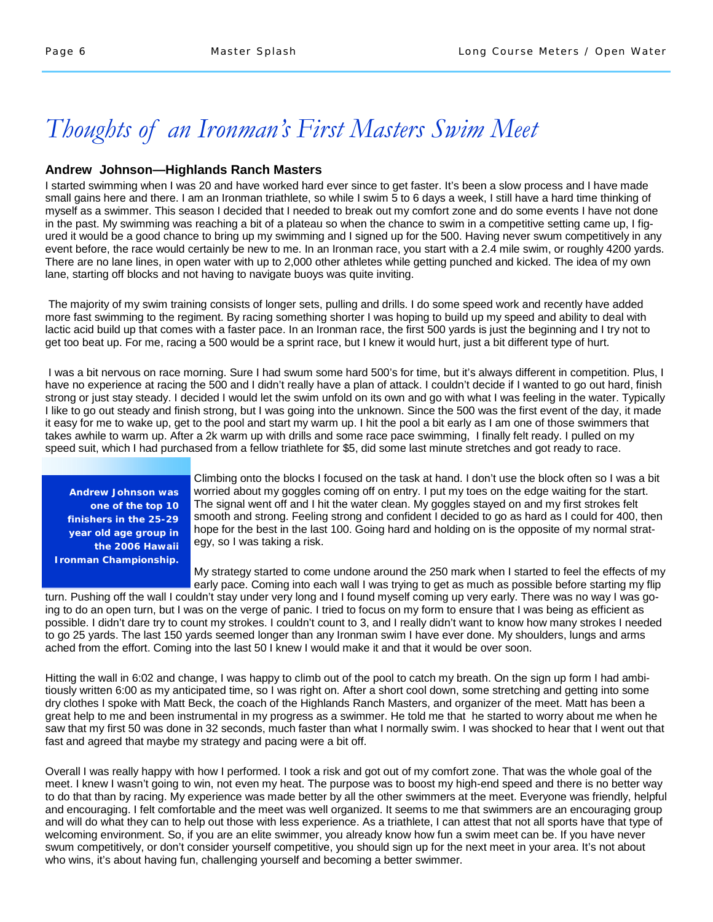### *Thoughts of an Ironman's First Masters Swim Meet*

### **Andrew Johnson—Highlands Ranch Masters**

I started swimming when I was 20 and have worked hard ever since to get faster. It's been a slow process and I have made small gains here and there. I am an Ironman triathlete, so while I swim 5 to 6 days a week, I still have a hard time thinking of myself as a swimmer. This season I decided that I needed to break out my comfort zone and do some events I have not done in the past. My swimming was reaching a bit of a plateau so when the chance to swim in a competitive setting came up, I figured it would be a good chance to bring up my swimming and I signed up for the 500. Having never swum competitively in any event before, the race would certainly be new to me. In an Ironman race, you start with a 2.4 mile swim, or roughly 4200 yards. There are no lane lines, in open water with up to 2,000 other athletes while getting punched and kicked. The idea of my own lane, starting off blocks and not having to navigate buoys was quite inviting.

 The majority of my swim training consists of longer sets, pulling and drills. I do some speed work and recently have added more fast swimming to the regiment. By racing something shorter I was hoping to build up my speed and ability to deal with lactic acid build up that comes with a faster pace. In an Ironman race, the first 500 yards is just the beginning and I try not to get too beat up. For me, racing a 500 would be a sprint race, but I knew it would hurt, just a bit different type of hurt.

 I was a bit nervous on race morning. Sure I had swum some hard 500's for time, but it's always different in competition. Plus, I have no experience at racing the 500 and I didn't really have a plan of attack. I couldn't decide if I wanted to go out hard, finish strong or just stay steady. I decided I would let the swim unfold on its own and go with what I was feeling in the water. Typically I like to go out steady and finish strong, but I was going into the unknown. Since the 500 was the first event of the day, it made it easy for me to wake up, get to the pool and start my warm up. I hit the pool a bit early as I am one of those swimmers that takes awhile to warm up. After a 2k warm up with drills and some race pace swimming, I finally felt ready. I pulled on my speed suit, which I had purchased from a fellow triathlete for \$5, did some last minute stretches and got ready to race.

**Andrew Johnson was one of the top 10 finishers in the 25-29 year old age group in the 2006 Hawaii Ironman Championship.** 

Climbing onto the blocks I focused on the task at hand. I don't use the block often so I was a bit worried about my goggles coming off on entry. I put my toes on the edge waiting for the start. The signal went off and I hit the water clean. My goggles stayed on and my first strokes felt smooth and strong. Feeling strong and confident I decided to go as hard as I could for 400, then hope for the best in the last 100. Going hard and holding on is the opposite of my normal strategy, so I was taking a risk.

My strategy started to come undone around the 250 mark when I started to feel the effects of my early pace. Coming into each wall I was trying to get as much as possible before starting my flip

turn. Pushing off the wall I couldn't stay under very long and I found myself coming up very early. There was no way I was going to do an open turn, but I was on the verge of panic. I tried to focus on my form to ensure that I was being as efficient as possible. I didn't dare try to count my strokes. I couldn't count to 3, and I really didn't want to know how many strokes I needed to go 25 yards. The last 150 yards seemed longer than any Ironman swim I have ever done. My shoulders, lungs and arms ached from the effort. Coming into the last 50 I knew I would make it and that it would be over soon.

Hitting the wall in 6:02 and change, I was happy to climb out of the pool to catch my breath. On the sign up form I had ambitiously written 6:00 as my anticipated time, so I was right on. After a short cool down, some stretching and getting into some dry clothes I spoke with Matt Beck, the coach of the Highlands Ranch Masters, and organizer of the meet. Matt has been a great help to me and been instrumental in my progress as a swimmer. He told me that he started to worry about me when he saw that my first 50 was done in 32 seconds, much faster than what I normally swim. I was shocked to hear that I went out that fast and agreed that maybe my strategy and pacing were a bit off.

Overall I was really happy with how I performed. I took a risk and got out of my comfort zone. That was the whole goal of the meet. I knew I wasn't going to win, not even my heat. The purpose was to boost my high-end speed and there is no better way to do that than by racing. My experience was made better by all the other swimmers at the meet. Everyone was friendly, helpful and encouraging. I felt comfortable and the meet was well organized. It seems to me that swimmers are an encouraging group and will do what they can to help out those with less experience. As a triathlete, I can attest that not all sports have that type of welcoming environment. So, if you are an elite swimmer, you already know how fun a swim meet can be. If you have never swum competitively, or don't consider yourself competitive, you should sign up for the next meet in your area. It's not about who wins, it's about having fun, challenging yourself and becoming a better swimmer.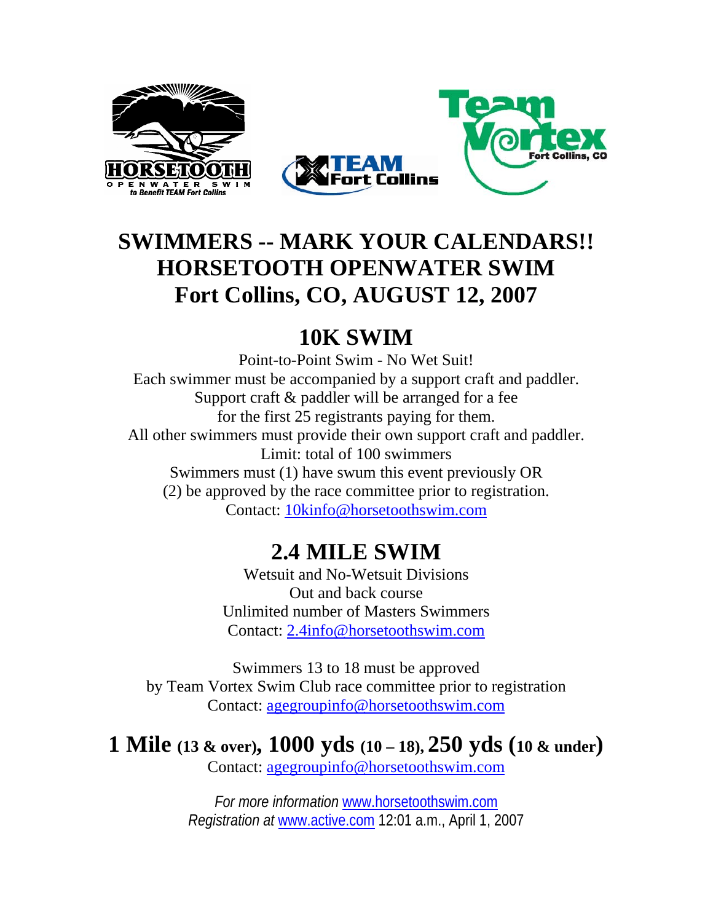



### **SWIMMERS -- MARK YOUR CALENDARS!! HORSETOOTH OPENWATER SWIM Fort Collins, CO, AUGUST 12, 2007**

### **10K SWIM**

Point-to-Point Swim - No Wet Suit! Each swimmer must be accompanied by a support craft and paddler. Support craft & paddler will be arranged for a fee for the first 25 registrants paying for them. All other swimmers must provide their own support craft and paddler. Limit: total of 100 swimmers Swimmers must (1) have swum this event previously OR (2) be approved by the race committee prior to registration. Contact: 10kinfo@horsetoothswim.com

### **2.4 MILE SWIM**

Wetsuit and No-Wetsuit Divisions Out and back course Unlimited number of Masters Swimmers Contact: 2.4info@horsetoothswim.com

Swimmers 13 to 18 must be approved by Team Vortex Swim Club race committee prior to registration Contact: agegroupinfo@horsetoothswim.com

**1 Mile (13 & over), 1000 yds (10 – 18), 250 yds (10 & under)** 

Contact: agegroupinfo@horsetoothswim.com

*For more information* www.horsetoothswim.com *Registration at* www.active.com 12:01 a.m., April 1, 2007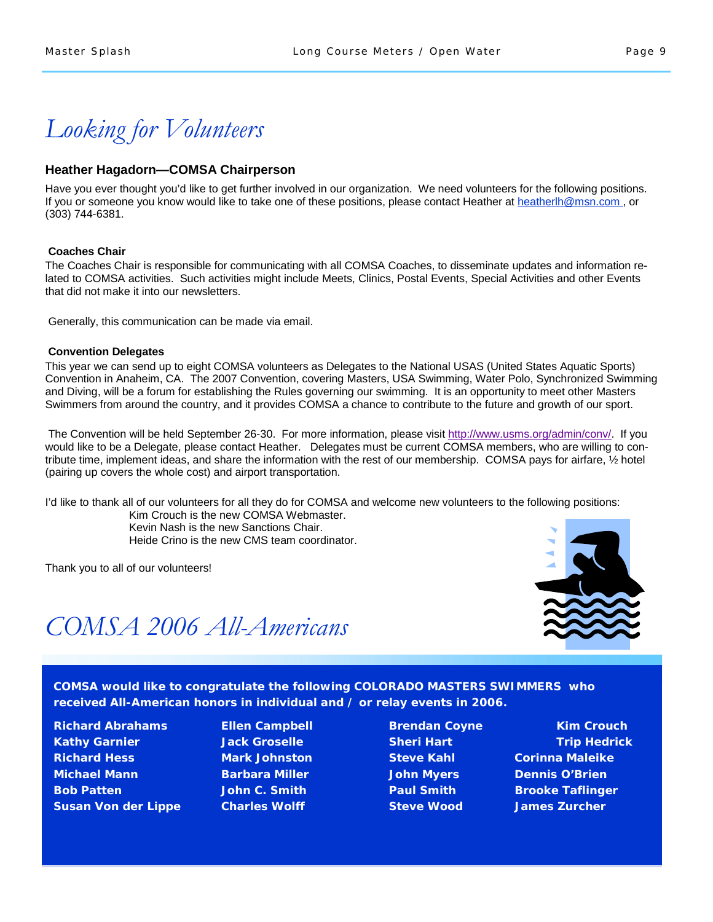*Looking for Volunteers* 

#### **Heather Hagadorn—COMSA Chairperson**

Have you ever thought you'd like to get further involved in our organization. We need volunteers for the following positions. If you or someone you know would like to take one of these positions, please contact Heather at heatherlh@msn.com, or (303) 744-6381.

#### **Coaches Chair**

The Coaches Chair is responsible for communicating with all COMSA Coaches, to disseminate updates and information related to COMSA activities. Such activities might include Meets, Clinics, Postal Events, Special Activities and other Events that did not make it into our newsletters.

Generally, this communication can be made via email.

#### **Convention Delegates**

This year we can send up to eight COMSA volunteers as Delegates to the National USAS (United States Aquatic Sports) Convention in Anaheim, CA. The 2007 Convention, covering Masters, USA Swimming, Water Polo, Synchronized Swimming and Diving, will be a forum for establishing the Rules governing our swimming. It is an opportunity to meet other Masters Swimmers from around the country, and it provides COMSA a chance to contribute to the future and growth of our sport.

The Convention will be held September 26-30. For more information, please visit http://www.usms.org/admin/conv/. If you would like to be a Delegate, please contact Heather. Delegates must be current COMSA members, who are willing to contribute time, implement ideas, and share the information with the rest of our membership. COMSA pays for airfare, ½ hotel (pairing up covers the whole cost) and airport transportation.

I'd like to thank all of our volunteers for all they do for COMSA and welcome new volunteers to the following positions:

 Kim Crouch is the new COMSA Webmaster. Kevin Nash is the new Sanctions Chair. Heide Crino is the new CMS team coordinator.

Thank you to all of our volunteers!



### *COMSA 2006 All-Americans*

**COMSA would like to congratulate the following COLORADO MASTERS SWIMMERS who received All-American honors in individual and / or relay events in 2006.** 

**Richard Abrahams Ellen Campbell Brendan Coyne Communist Richard Abrahams Area Kathy Garnier Trip Hedrick Sheri Hart Sheri Hart Trip Hedrick** Constant Trip Hedrick **Richard Hess Mark Johnston Steve Kahl Corinna Maleike Michael Mann Barbara Miller John Myers Dennis O'Brien Bob Patten John C. Smith Paul Smith Brooke Taflinger Susan Von der Lippe Charles Wolff Charles Steve Wood States Zurcher** 

- 
-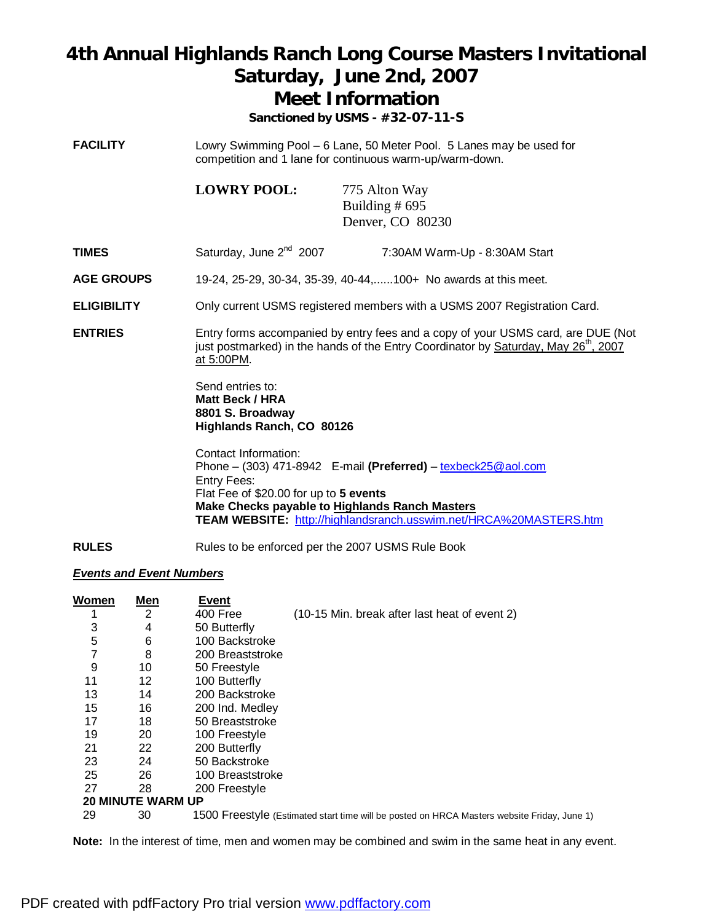### **4th Annual Highlands Ranch Long Course Masters Invitational Saturday, June 2nd, 2007 Meet Information**

**Sanctioned by USMS - #32-07-11-S**

**FACILITY** Lowry Swimming Pool – 6 Lane, 50 Meter Pool. 5 Lanes may be used for competition and 1 lane for continuous warm-up/warm-down.

> **LOWRY POOL:** 775 Alton Way Building # 695 Denver, CO 80230

- **TIMES** Saturday, June 2<sup>nd</sup> 2007 7:30AM Warm-Up 8:30AM Start
- **AGE GROUPS** 19-24, 25-29, 30-34, 35-39, 40-44,......100+ No awards at this meet.
- **ELIGIBILITY** Only current USMS registered members with a USMS 2007 Registration Card.
- **ENTRIES** Entry forms accompanied by entry fees and a copy of your USMS card, are DUE (Not just postmarked) in the hands of the Entry Coordinator by Saturday, May 26<sup>th</sup>, 2007 at 5:00PM.

Send entries to: **Matt Beck / HRA 8801 S. Broadway Highlands Ranch, CO 80126** 

Contact Information: Phone – (303) 471-8942 E-mail **(Preferred)** – [texbeck25@aol.com](mailto:texbeck25@aol.com) Entry Fees: Flat Fee of \$20.00 for up to **5 events Make Checks payable to Highlands Ranch Masters TEAM WEBSITE:** <http://highlandsranch.usswim.net/HRCA%20MASTERS.htm>

**RULES** Rules to be enforced per the 2007 USMS Rule Book

### *Events and Event Numbers*

| <u>Women</u> | Men                      | Event            |                                                                                             |
|--------------|--------------------------|------------------|---------------------------------------------------------------------------------------------|
|              | 2                        | 400 Free         | (10-15 Min. break after last heat of event 2)                                               |
| 3            | 4                        | 50 Butterfly     |                                                                                             |
| 5            | 6                        | 100 Backstroke   |                                                                                             |
| 7            | 8                        | 200 Breaststroke |                                                                                             |
| 9            | 10                       | 50 Freestyle     |                                                                                             |
| 11           | 12                       | 100 Butterfly    |                                                                                             |
| 13           | 14                       | 200 Backstroke   |                                                                                             |
| 15           | 16                       | 200 Ind. Medley  |                                                                                             |
| 17           | 18                       | 50 Breaststroke  |                                                                                             |
| 19           | 20                       | 100 Freestyle    |                                                                                             |
| 21           | 22                       | 200 Butterfly    |                                                                                             |
| 23           | 24                       | 50 Backstroke    |                                                                                             |
| 25           | 26                       | 100 Breaststroke |                                                                                             |
| 27           | 28                       | 200 Freestyle    |                                                                                             |
|              | <b>20 MINUTE WARM UP</b> |                  |                                                                                             |
| 29           | 30                       |                  | 1500 Freestyle (Estimated start time will be posted on HRCA Masters website Friday, June 1) |
|              |                          |                  |                                                                                             |

**Note:** In the interest of time, men and women may be combined and swim in the same heat in any event.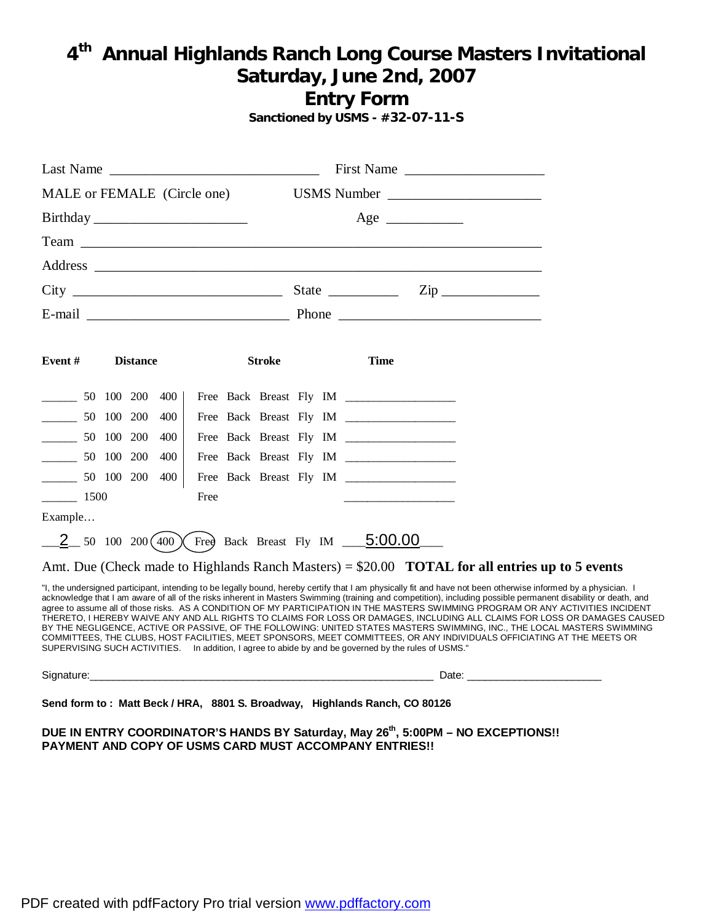### **4 th Annual Highlands Ranch Long Course Masters Invitational Saturday, June 2nd, 2007 Entry Form**

**Sanctioned by USMS - #32-07-11-S**

| Last Name $\frac{1}{\sqrt{1-\frac{1}{2}}\sqrt{1-\frac{1}{2}}\sqrt{1-\frac{1}{2}}\sqrt{1-\frac{1}{2}}\sqrt{1-\frac{1}{2}}\sqrt{1-\frac{1}{2}}\sqrt{1-\frac{1}{2}}\sqrt{1-\frac{1}{2}}\sqrt{1-\frac{1}{2}}\sqrt{1-\frac{1}{2}}\sqrt{1-\frac{1}{2}}\sqrt{1-\frac{1}{2}}\sqrt{1-\frac{1}{2}}\sqrt{1-\frac{1}{2}}\sqrt{1-\frac{1}{2}}\sqrt{1-\frac{1}{2}}\sqrt{1-\frac{1}{2}}\sqrt{1-\frac{1}{2}}\sqrt{1-\frac{$ |                 |     |      |                                                                                                      |             |  |             |          | First Name                                                                                                                                                                                                                                                                                                                                                                                                                                                                                                                                                                                                                                                                                                                                                                                                                                               |  |  |
|-------------------------------------------------------------------------------------------------------------------------------------------------------------------------------------------------------------------------------------------------------------------------------------------------------------------------------------------------------------------------------------------------------------|-----------------|-----|------|------------------------------------------------------------------------------------------------------|-------------|--|-------------|----------|----------------------------------------------------------------------------------------------------------------------------------------------------------------------------------------------------------------------------------------------------------------------------------------------------------------------------------------------------------------------------------------------------------------------------------------------------------------------------------------------------------------------------------------------------------------------------------------------------------------------------------------------------------------------------------------------------------------------------------------------------------------------------------------------------------------------------------------------------------|--|--|
| MALE or FEMALE (Circle one)                                                                                                                                                                                                                                                                                                                                                                                 |                 |     |      |                                                                                                      | USMS Number |  |             |          |                                                                                                                                                                                                                                                                                                                                                                                                                                                                                                                                                                                                                                                                                                                                                                                                                                                          |  |  |
| Birthday                                                                                                                                                                                                                                                                                                                                                                                                    |                 |     |      |                                                                                                      |             |  |             | $Age \_$ |                                                                                                                                                                                                                                                                                                                                                                                                                                                                                                                                                                                                                                                                                                                                                                                                                                                          |  |  |
|                                                                                                                                                                                                                                                                                                                                                                                                             |                 |     |      |                                                                                                      |             |  |             |          |                                                                                                                                                                                                                                                                                                                                                                                                                                                                                                                                                                                                                                                                                                                                                                                                                                                          |  |  |
|                                                                                                                                                                                                                                                                                                                                                                                                             |                 |     |      |                                                                                                      |             |  |             |          |                                                                                                                                                                                                                                                                                                                                                                                                                                                                                                                                                                                                                                                                                                                                                                                                                                                          |  |  |
|                                                                                                                                                                                                                                                                                                                                                                                                             |                 |     |      |                                                                                                      |             |  |             |          | $\mathsf{Zip} \longrightarrow$                                                                                                                                                                                                                                                                                                                                                                                                                                                                                                                                                                                                                                                                                                                                                                                                                           |  |  |
|                                                                                                                                                                                                                                                                                                                                                                                                             |                 |     |      |                                                                                                      |             |  |             |          |                                                                                                                                                                                                                                                                                                                                                                                                                                                                                                                                                                                                                                                                                                                                                                                                                                                          |  |  |
|                                                                                                                                                                                                                                                                                                                                                                                                             |                 |     |      |                                                                                                      |             |  |             |          |                                                                                                                                                                                                                                                                                                                                                                                                                                                                                                                                                                                                                                                                                                                                                                                                                                                          |  |  |
| Event#                                                                                                                                                                                                                                                                                                                                                                                                      | <b>Distance</b> |     |      | <b>Stroke</b>                                                                                        |             |  | <b>Time</b> |          |                                                                                                                                                                                                                                                                                                                                                                                                                                                                                                                                                                                                                                                                                                                                                                                                                                                          |  |  |
| $\frac{1}{2}$ 50 100 200                                                                                                                                                                                                                                                                                                                                                                                    |                 | 400 |      |                                                                                                      |             |  |             |          |                                                                                                                                                                                                                                                                                                                                                                                                                                                                                                                                                                                                                                                                                                                                                                                                                                                          |  |  |
| $\frac{1}{2}$ 50 100 200                                                                                                                                                                                                                                                                                                                                                                                    |                 | 400 |      |                                                                                                      |             |  |             |          |                                                                                                                                                                                                                                                                                                                                                                                                                                                                                                                                                                                                                                                                                                                                                                                                                                                          |  |  |
| $\frac{1}{\sqrt{50}}$                                                                                                                                                                                                                                                                                                                                                                                       | 100 200         | 400 |      |                                                                                                      |             |  |             |          |                                                                                                                                                                                                                                                                                                                                                                                                                                                                                                                                                                                                                                                                                                                                                                                                                                                          |  |  |
| 50 100 200                                                                                                                                                                                                                                                                                                                                                                                                  |                 | 400 |      |                                                                                                      |             |  |             |          |                                                                                                                                                                                                                                                                                                                                                                                                                                                                                                                                                                                                                                                                                                                                                                                                                                                          |  |  |
| $\frac{1}{2}$ 50 100 200                                                                                                                                                                                                                                                                                                                                                                                    |                 | 400 |      | Free Back Breast Fly IM ________________                                                             |             |  |             |          |                                                                                                                                                                                                                                                                                                                                                                                                                                                                                                                                                                                                                                                                                                                                                                                                                                                          |  |  |
| $\frac{1500}{2}$                                                                                                                                                                                                                                                                                                                                                                                            |                 |     | Free |                                                                                                      |             |  |             |          |                                                                                                                                                                                                                                                                                                                                                                                                                                                                                                                                                                                                                                                                                                                                                                                                                                                          |  |  |
| Example                                                                                                                                                                                                                                                                                                                                                                                                     |                 |     |      |                                                                                                      |             |  |             |          |                                                                                                                                                                                                                                                                                                                                                                                                                                                                                                                                                                                                                                                                                                                                                                                                                                                          |  |  |
|                                                                                                                                                                                                                                                                                                                                                                                                             |                 |     |      | $\underline{2}$ 50 100 200(400) Free Back Breast Fly IM $\underline{5:00.00}$                        |             |  |             |          |                                                                                                                                                                                                                                                                                                                                                                                                                                                                                                                                                                                                                                                                                                                                                                                                                                                          |  |  |
|                                                                                                                                                                                                                                                                                                                                                                                                             |                 |     |      |                                                                                                      |             |  |             |          | Amt. Due (Check made to Highlands Ranch Masters) = \$20.00 <b>TOTAL for all entries up to 5 events</b>                                                                                                                                                                                                                                                                                                                                                                                                                                                                                                                                                                                                                                                                                                                                                   |  |  |
|                                                                                                                                                                                                                                                                                                                                                                                                             |                 |     |      | SUPERVISING SUCH ACTIVITIES. In addition, I agree to abide by and be governed by the rules of USMS." |             |  |             |          | "I, the undersigned participant, intending to be legally bound, hereby certify that I am physically fit and have not been otherwise informed by a physician. I<br>acknowledge that I am aware of all of the risks inherent in Masters Swimming (training and competition), including possible permanent disability or death, and<br>agree to assume all of those risks. AS A CONDITION OF MY PARTICIPATION IN THE MASTERS SWIMMING PROGRAM OR ANY ACTIVITIES INCIDENT<br>THERETO, I HEREBY WAIVE ANY AND ALL RIGHTS TO CLAIMS FOR LOSS OR DAMAGES, INCLUDING ALL CLAIMS FOR LOSS OR DAMAGES CAUSED<br>BY THE NEGLIGENCE, ACTIVE OR PASSIVE, OF THE FOLLOWING: UNITED STATES MASTERS SWIMMING, INC., THE LOCAL MASTERS SWIMMING<br>COMMITTEES, THE CLUBS, HOST FACILITIES, MEET SPONSORS, MEET COMMITTEES, OR ANY INDIVIDUALS OFFICIATING AT THE MEETS OR |  |  |
|                                                                                                                                                                                                                                                                                                                                                                                                             |                 |     |      |                                                                                                      |             |  |             |          |                                                                                                                                                                                                                                                                                                                                                                                                                                                                                                                                                                                                                                                                                                                                                                                                                                                          |  |  |

**Send form to : Matt Beck / HRA, 8801 S. Broadway, Highlands Ranch, CO 80126** 

**DUE IN ENTRY COORDINATOR'S HANDS BY Saturday, May 26th , 5:00PM – NO EXCEPTIONS!! PAYMENT AND COPY OF USMS CARD MUST ACCOMPANY ENTRIES!!**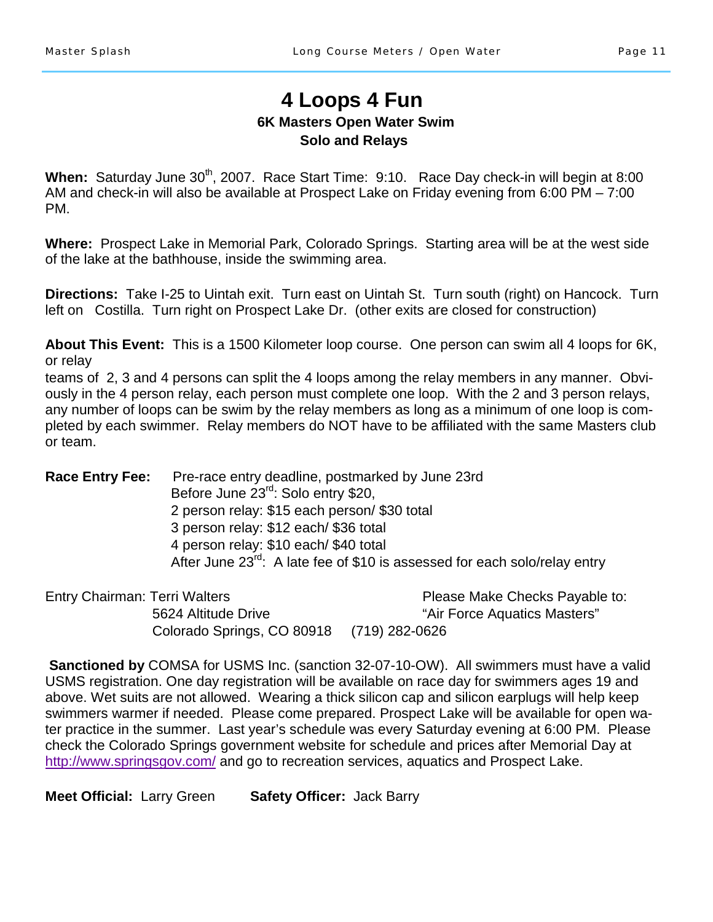### **4 Loops 4 Fun 6K Masters Open Water Swim Solo and Relays**

When: Saturday June 30<sup>th</sup>, 2007. Race Start Time: 9:10. Race Day check-in will begin at 8:00 AM and check-in will also be available at Prospect Lake on Friday evening from 6:00 PM – 7:00 PM.

**Where:** Prospect Lake in Memorial Park, Colorado Springs. Starting area will be at the west side of the lake at the bathhouse, inside the swimming area.

**Directions:** Take I-25 to Uintah exit. Turn east on Uintah St. Turn south (right) on Hancock. Turn left on Costilla. Turn right on Prospect Lake Dr. (other exits are closed for construction)

**About This Event:** This is a 1500 Kilometer loop course. One person can swim all 4 loops for 6K, or relay

teams of 2, 3 and 4 persons can split the 4 loops among the relay members in any manner. Obviously in the 4 person relay, each person must complete one loop. With the 2 and 3 person relays, any number of loops can be swim by the relay members as long as a minimum of one loop is completed by each swimmer. Relay members do NOT have to be affiliated with the same Masters club or team.

**Race Entry Fee:** Pre-race entry deadline, postmarked by June 23rd Before June 23<sup>rd</sup>: Solo entry \$20, 2 person relay: \$15 each person/ \$30 total 3 person relay: \$12 each/ \$36 total 4 person relay: \$10 each/ \$40 total After June 23<sup>rd</sup>: A late fee of \$10 is assessed for each solo/relay entry

Entry Chairman: Terri Walters **Please Make Checks Payable to:** Please Make Checks Payable to: 5624 Altitude Drive **The Contract of Air Force Aquatics Masters**" Colorado Springs, CO 80918 (719) 282-0626

**Sanctioned by** COMSA for USMS Inc. (sanction 32-07-10-OW). All swimmers must have a valid USMS registration. One day registration will be available on race day for swimmers ages 19 and above. Wet suits are not allowed. Wearing a thick silicon cap and silicon earplugs will help keep swimmers warmer if needed. Please come prepared. Prospect Lake will be available for open water practice in the summer. Last year's schedule was every Saturday evening at 6:00 PM. Please check the Colorado Springs government website for schedule and prices after Memorial Day at http://www.springsgov.com/ and go to recreation services, aquatics and Prospect Lake.

**Meet Official:** Larry Green **Safety Officer:** Jack Barry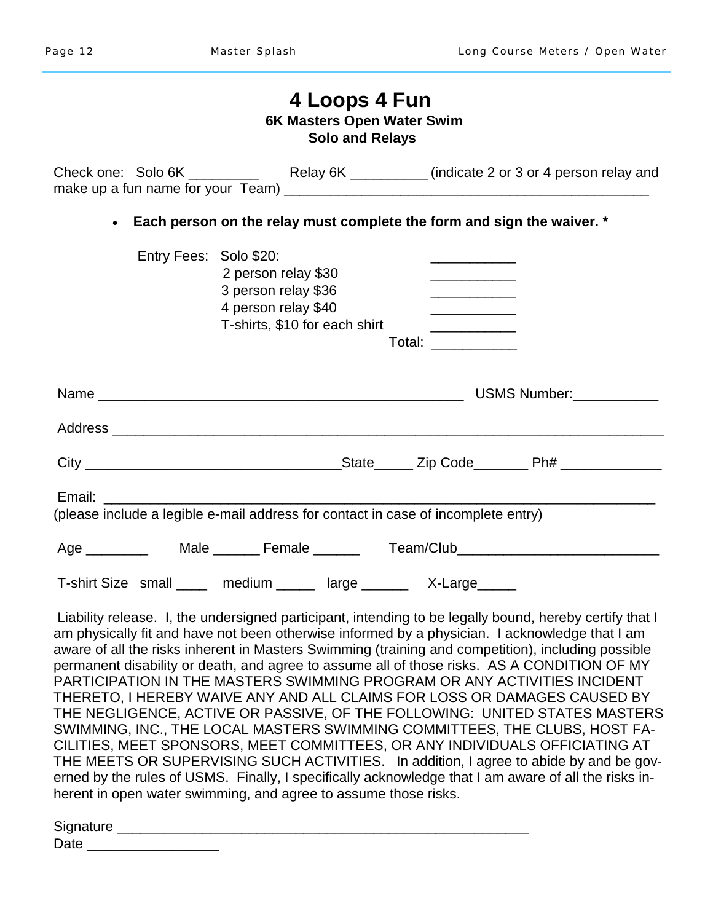|                        | 4 Loops 4 Fun<br>6K Masters Open Water Swim<br><b>Solo and Relays</b>                              |                                                                                                                     |  |
|------------------------|----------------------------------------------------------------------------------------------------|---------------------------------------------------------------------------------------------------------------------|--|
|                        |                                                                                                    |                                                                                                                     |  |
| $\bullet$              | Each person on the relay must complete the form and sign the waiver. *                             |                                                                                                                     |  |
| Entry Fees: Solo \$20: | 2 person relay \$30<br>3 person relay \$36<br>4 person relay \$40<br>T-shirts, \$10 for each shirt | <u> 1990 - Johann Barn, mars ann an t-</u><br><u> 1989 - Johann Barn, fransk politik (</u><br>Total: <b>Example</b> |  |
|                        |                                                                                                    |                                                                                                                     |  |
|                        |                                                                                                    |                                                                                                                     |  |
|                        |                                                                                                    |                                                                                                                     |  |
|                        | (please include a legible e-mail address for contact in case of incomplete entry)                  |                                                                                                                     |  |
|                        | Age __________  Male ________ Female _______  Team/Club_________________________                   |                                                                                                                     |  |
|                        | T-shirt Size small ____ medium _____ large ______ X-Large_____                                     |                                                                                                                     |  |

 Liability release. I, the undersigned participant, intending to be legally bound, hereby certify that I am physically fit and have not been otherwise informed by a physician. I acknowledge that I am aware of all the risks inherent in Masters Swimming (training and competition), including possible permanent disability or death, and agree to assume all of those risks. AS A CONDITION OF MY PARTICIPATION IN THE MASTERS SWIMMING PROGRAM OR ANY ACTIVITIES INCIDENT THERETO, I HEREBY WAIVE ANY AND ALL CLAIMS FOR LOSS OR DAMAGES CAUSED BY THE NEGLIGENCE, ACTIVE OR PASSIVE, OF THE FOLLOWING: UNITED STATES MASTERS SWIMMING, INC., THE LOCAL MASTERS SWIMMING COMMITTEES, THE CLUBS, HOST FA-CILITIES, MEET SPONSORS, MEET COMMITTEES, OR ANY INDIVIDUALS OFFICIATING AT THE MEETS OR SUPERVISING SUCH ACTIVITIES. In addition, I agree to abide by and be governed by the rules of USMS. Finally, I specifically acknowledge that I am aware of all the risks inherent in open water swimming, and agree to assume those risks.

| Signature |  |  |  |
|-----------|--|--|--|
| Date      |  |  |  |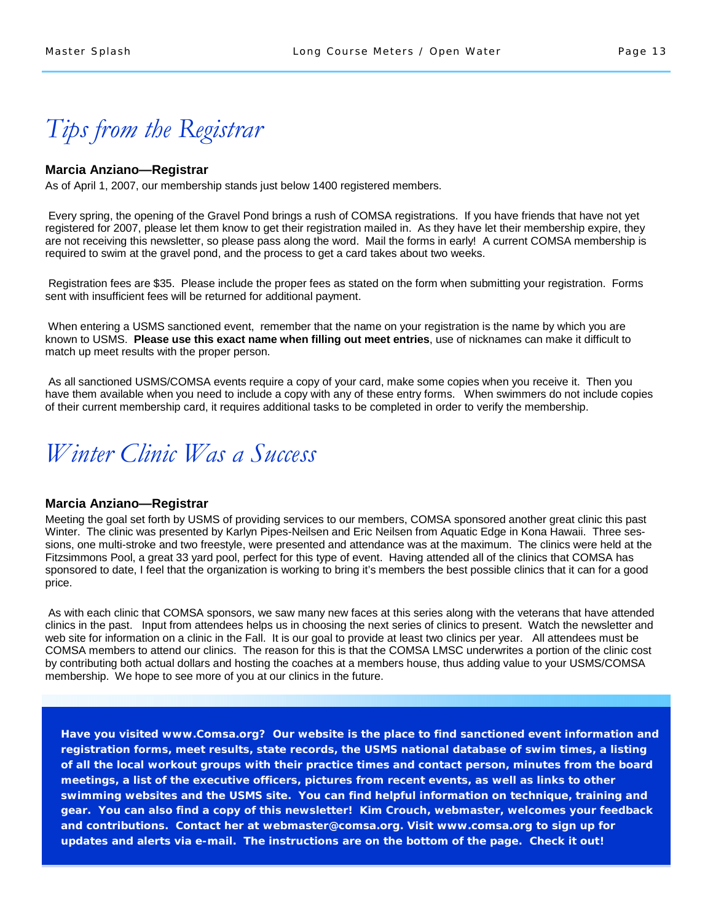*Tips from the Registrar* 

#### **Marcia Anziano—Registrar**

As of April 1, 2007, our membership stands just below 1400 registered members.

 Every spring, the opening of the Gravel Pond brings a rush of COMSA registrations. If you have friends that have not yet registered for 2007, please let them know to get their registration mailed in. As they have let their membership expire, they are not receiving this newsletter, so please pass along the word. Mail the forms in early! A current COMSA membership is required to swim at the gravel pond, and the process to get a card takes about two weeks.

 Registration fees are \$35. Please include the proper fees as stated on the form when submitting your registration. Forms sent with insufficient fees will be returned for additional payment.

 When entering a USMS sanctioned event, remember that the name on your registration is the name by which you are known to USMS. **Please use this exact name when filling out meet entries**, use of nicknames can make it difficult to match up meet results with the proper person.

 As all sanctioned USMS/COMSA events require a copy of your card, make some copies when you receive it. Then you have them available when you need to include a copy with any of these entry forms. When swimmers do not include copies of their current membership card, it requires additional tasks to be completed in order to verify the membership.



#### **Marcia Anziano—Registrar**

Meeting the goal set forth by USMS of providing services to our members, COMSA sponsored another great clinic this past Winter. The clinic was presented by Karlyn Pipes-Neilsen and Eric Neilsen from Aquatic Edge in Kona Hawaii. Three sessions, one multi-stroke and two freestyle, were presented and attendance was at the maximum. The clinics were held at the Fitzsimmons Pool, a great 33 yard pool, perfect for this type of event. Having attended all of the clinics that COMSA has sponsored to date, I feel that the organization is working to bring it's members the best possible clinics that it can for a good price.

As with each clinic that COMSA sponsors, we saw many new faces at this series along with the veterans that have attended clinics in the past. Input from attendees helps us in choosing the next series of clinics to present. Watch the newsletter and web site for information on a clinic in the Fall. It is our goal to provide at least two clinics per year. All attendees must be COMSA members to attend our clinics. The reason for this is that the COMSA LMSC underwrites a portion of the clinic cost by contributing both actual dollars and hosting the coaches at a members house, thus adding value to your USMS/COMSA membership. We hope to see more of you at our clinics in the future.

**Have you visited www.Comsa.org? Our website is the place to find sanctioned event information and registration forms, meet results, state records, the USMS national database of swim times, a listing of all the local workout groups with their practice times and contact person, minutes from the board meetings, a list of the executive officers, pictures from recent events, as well as links to other swimming websites and the USMS site. You can find helpful information on technique, training and gear. You can also find a copy of this newsletter! Kim Crouch, webmaster, welcomes your feedback and contributions. Contact her at webmaster@comsa.org. Visit www.comsa.org to sign up for updates and alerts via e-mail. The instructions are on the bottom of the page. Check it out!**